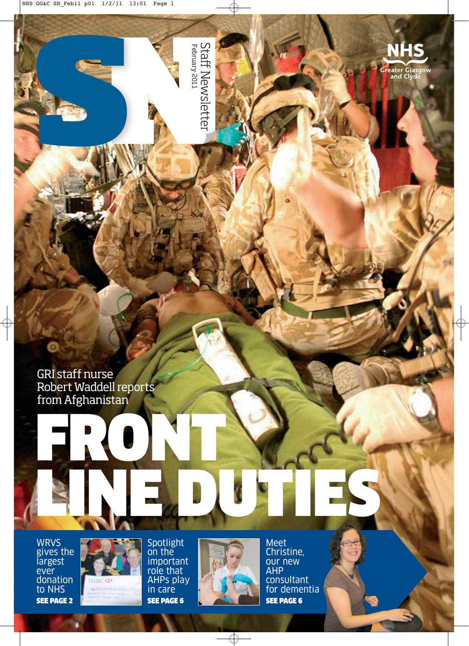

Staff Newsletter<br><sup>February 2011</sup> February 2011

GRI staff nurse Robert Waddell reports from Afghanistan

## FRONT LINE DUE DES

WRVS gives the largest ever donation to NHS SEE PAGE 2



Spotlight on the important role that AHPs play in care SEE PAGE 6



Meet Christine, our new AHP consultant for dementia SEE PAGE 6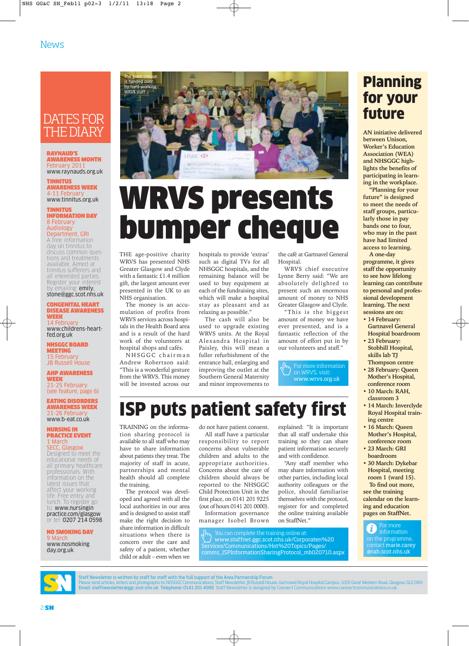#### DATES FOR THE DIARY

RAYNAUD'S AWARENESS MONTH February 2011 www.raynauds.org.uk

TINNITUS AWARENESS WEEK 4-11 Februar www.tinnitus.org.uk

TINNITUS INFORMATION DAY 8 February Audiology

Department, GRI A free information day on tinnitus to discuss common questions and treatments available. Aimed at tinnitus sufferers and all interested parties. Register your interest by emailing: **emily.** stone@ggc.scot.nhs.uk

CONGENITAL HEART DISEASE AWARENESS WEEK 14 February

www.childrens-heartfed.org.uk

NHSGGC BOARD MEETING 15 February JB Russell House

AHP AWARENESS WEEK 21-25 February (see feature, page 6)

EATING DISORDERS AWARENESS WEEK  $1.26$  February www.b-eat.co.uk

NURSING IN PRACTICE EVENT 1 March

SECC, Glasgow Designed to meet the educational needs of all primary healthcare professionals. With information on the latest issues that affect your working life. Free entry and lunch. To register go to: www.nursingin practice.com/glasgow or tel: 0207 214 0598.

NO SMOKING DAY 9 March www.nosmoking day.org.uk



## WRVS presents bumper cheque

THE age-positive charity WRVS has presented NHS Greater Glasgow and Clyde with a fantastic £1.4 million gift, the largest amount ever presented in the UK to an NHS organisation.

The money is an accumulation of profits from WRVS services across hospitals in the Health Board area and is a result of the hard work of the volunteers at hospital shops and cafés.

NHSGGC chairman Andrew Robertson said: "This is a wonderful gesture from the WRVS. This money will be invested across our hospitals to provide 'extras' such as digital TVs for all NHSGGC hospitals, and the remaining balance will be used to buy equipment at each of the fundraising sites, which will make a hospital stay as pleasant and as relaxing as possible."

The cash will also be used to upgrade existing WRVS units. At the Royal Alexandra Hospital in Paisley, this will mean a fuller refurbishment of the entrance hall, enlarging and improving the outlet at the Southern General Maternity and minor improvements to

the café at Gartnavel General Hospital.

WRVS chief executive Lynne Berry said: "We are absolutely delighted to present such an enormous amount of money to NHS Greater Glasgow and Clyde.

"This is the biggest amount of money we have ever presented, and is a fantastic reflection of the amount of effort put in by our volunteers and staff."

 $\left\{\mathsf{Fr}_{\mathsf{p}}\right\}$  For more information www.wrvs.org.uk

### ISP puts patient safety first

TRAINING on the information sharing protocol is available to all staff who may have to share information about patients they treat. The majority of staff in acute, partnerships and mental health should all complete the training.

The protocol was developed and agreed with all the local authorities in our area and is designed to assist staff make the right decision to share information in difficult situations when there is concern over the care and safety of a patient, whether child or adult – even when we

do not have patient consent. All staff have a particular responsibility to report concerns about vulnerable children and adults to the appropriate authorities. Concerns about the care of children should always be reported to the NHSGGC Child Protection Unit in the first place, on 0141 201 9225 (out of hours 0141 201 0000).

Information governance manager Isobel Brown

explained: "It is important that all staff undertake this training so they can share patient information securely and with confidence.

"Any staff member who may share information with other parties, including local authority colleagues or the police, should familiarise themselves with the protocol, register for and completed the online training available on StaffNet."

You can complete the training online at: www.staffnet.ggc.scot.nhs.uk/Corporaten%20 Services/Communications/Hot%20Topics/Pages/ comms\_ISPInformationSharingProtocol\_mb020710.aspx **ing and education pages on StaffNet.**

For more  $\mathcal{H}$ information on the programme, contact marie.carey @rah.scot.nhs.uk



2 **SN**

Staff Newsletter is written by staff for staff with the full support of the Area Partnership Forum

Please send articles, letters and photographs to: NHSGGC Communications, Staff Newsletter, JB Russell House, Gartnavel Royal Hospital Campus, 1055 Great Western Road, Glasgow, G12 0XH<br>Email: staffnewsletter@ggc.scot.nhs.uk

**AN initiative delivered between Unison, Worker's Education Association (WEA) and NHSGGC highlights the benefits of participating in learning in the workplace.**

**"Planning for your future" is designed to meet the needs of staff groups, particularly those in pay bands one to four, who may in the past have had limited access to learning.** 

**A one-day programme, it gives staff the opportunity to see how lifelong learning can contribute to personal and professional development learning. The next sessions are on:**

- **14 February:**
- **Gartnavel General Hospital boardroom • 23 February:**
- **Stobhill Hospital, skills lab TJ Thompson centre**
- **28 February: Queen Mother's Hospital, conference room**
- **10 March: RAH, classroom 3**
- **14 March: Inverclyde Royal Hospital training centre**
- **16 March: Queen Mother's Hospital, conference room**
- **23 March: GRI boardroom**
- **30 March: Dykebar Hospital, meeting room 1 (ward 15). To find out more, see the training calendar on the learn-**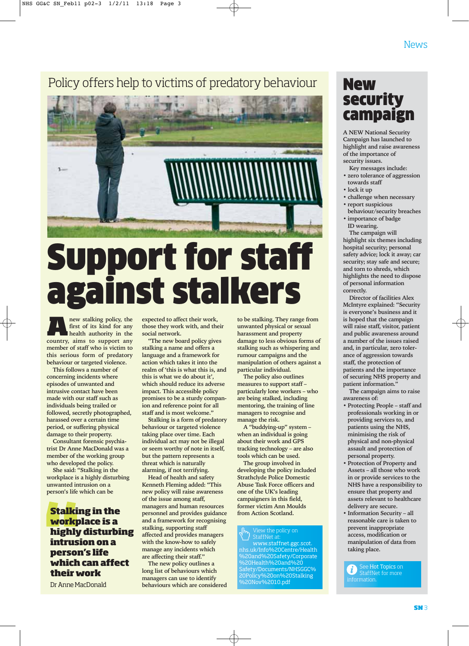#### Policy offers help to victims of predatory behaviour



## Support for staff against stalkers

**A**<br>**A**<br>**A**<br>**new stalking policy, the<br><b>first** of its kind for any<br>**health** authority in the **first of its kind for any health authority in the country, aims to support any member of staff who is victim to this serious form of predatory behaviour or targeted violence.**

**This follows a number of concerning incidents where episodes of unwanted and intrusive contact have been made with our staff such as individuals being trailed or followed, secretly photographed, harassed over a certain time period, or suffering physical damage to their property.** 

**Consultant forensic psychiatrist Dr Anne MacDonald was a member of the working group who developed the policy.** 

**She said: "Stalking in the workplace is a highly disturbing unwanted intrusion on a person's life which can be**

**Stalking in the workplace is a highly disturbing intrusion on a person's life which can affect their work**

Dr Anne MacDonald

**expected to affect their work, those they work with, and their social network.** 

**"The new board policy gives stalking a name and offers a language and a framework for action which takes it into the realm of 'this is what this is, and this is what we do about it', which should reduce its adverse impact. This accessible policy promises to be a sturdy companion and reference point for all staff and is most welcome."** 

**Stalking is a form of predatory behaviour or targeted violence taking place over time. Each individual act may not be illegal or seem worthy of note in itself, but the pattern represents a threat which is naturally alarming, if not terrifying.** 

**Head of health and safety Kenneth Fleming added: "This new policy will raise awareness of the issue among staff, managers and human resources personnel and provides guidance and a framework for recognising stalking, supporting staff affected and provides managers with the know-how to safely manage any incidents which are affecting their staff."** 

**The new policy outlines a long list of behaviours which managers can use to identify behaviours which are considered** **to be stalking. They range from unwanted physical or sexual harassment and property damage to less obvious forms of stalking such as whispering and rumour campaigns and the manipulation of others against a particular individual.** 

**The policy also outlines measures to support staff – particularly lone workers – who are being stalked, including mentoring, the training of line managers to recognise and manage the risk.** 

**A "buddying-up" system – when an individual is going about their work and GPS tracking technology – are also tools which can be used.**

**The group involved in developing the policy included Strathclyde Police Domestic Abuse Task Force officers and one of the UK's leading campaigners in this field, former victim Ann Moulds from Action Scotland.** 

#### View the policy on StaffNet at

www.staffnet.ggc.scot. nhs.uk/Info%20Centre/Health %20and%20Safety/Corporate %20Health%20and%20 Safety/Documents/NHSGGC% 20Policy%20on%20Stalking %20Nov%2010.pdf

#### New security campaign

**A NEW National Security Campaign has launched to highlight and raise awareness of the importance of security issues.**

- **Key messages include:**
- **zero tolerance of aggression towards staff**
- **lock it up**
- **challenge when necessary**
- **report suspicious**
- **behaviour/security breaches • importance of badge**
- **ID wearing. The campaign will**

**highlight six themes including hospital security; personal safety advice; lock it away; car security; stay safe and secure; and torn to shreds, which highlights the need to dispose of personal information correctly.** 

**Director of facilities Alex McIntyre explained: "Security is everyone's business and it is hoped that the campaign will raise staff, visitor, patient and public awareness around a number of the issues raised and, in particular, zero tolerance of aggression towards staff, the protection of patients and the importance of securing NHS property and patient information."**

**The campaign aims to raise awareness of:** 

- **Protecting People staff and professionals working in or providing services to, and patients using the NHS, minimising the risk of physical and non-physical assault and protection of personal property.**
- **Protection of Property and Assets – all those who work in or provide services to the NHS have a responsibility to ensure that property and assets relevant to healthcare delivery are secure.**
- **Information Security all reasonable care is taken to prevent inappropriate access, modification or manipulation of data from taking place.**

See Hot Topics on  $\vec{u}$ ) StaffNet for more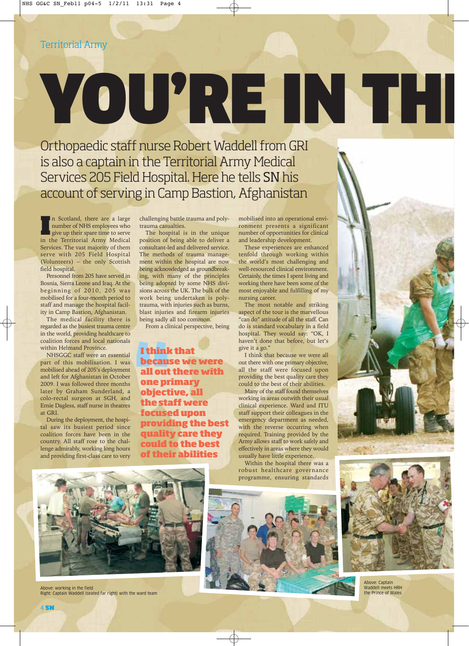# YOURREIN HI

Orthopaedic staff nurse Robert Waddell from GRI is also a captain in the Territorial Army Medical Services 205 Field Hospital. Here he tells SN his account of serving in Camp Bastion, Afghanistan

In Scotland, there are a large<br>
number of NHS employees who<br>
give up their spare time to serve<br>
in the Territorial Army Medical n Scotland, there are a large number of NHS employees who give up their spare time to serve Services. The vast majority of them serve with 205 Field Hospital (Volunteers) – the only Scottish field hospital.

Personnel from 205 have served in Bosnia, Sierra Leone and Iraq. At the beginning of 2010, 205 was mobilised for a four-month period to staff and manage the hospital facility in Camp Bastion, Afghanistan.

The medical facility there is regarded as the busiest trauma centre in the world, providing healthcare to coalition forces and local nationals within Helmand Province.

NHSGGC staff were an essential part of this mobilisation. I was mobilised ahead of 205's deployment and left for Afghanistan in October 2009. I was followed three months later by Graham Sunderland, a colo-rectal surgeon at SGH, and Ernie Dagless, staff nurse in theatres at GRI.

During the deployment, the hospital saw its busiest period since coalition forces have been in the country. All staff rose to the challenge admirably, working long hours and providing first-class care to very challenging battle trauma and polytrauma casualties.

The hospital is in the unique position of being able to deliver a consultant-led and delivered service. The methods of trauma management within the hospital are now being acknowledged as groundbreaking, with many of the principles being adopted by some NHS divisions across the UK. The bulk of the work being undertaken is polytrauma, with injuries such as burns, blast injuries and firearm injuries being sadly all too common.

From a clinical perspective, being

**I think that because we were all out there with one primary objective, all the staff were focused upon providing the best quality care they could to the best of their abilities**

mobilised into an operational environment presents a significant number of opportunities for clinical and leadership development.

These experiences are enhanced tenfold through working within the world's most challenging and well-resourced clinical environment. Certainly, the times I spent living and working there have been some of the most enjoyable and fulfilling of my nursing career.

The most notable and striking aspect of the tour is the marvellous "can do" attitude of all the staff. Can do is standard vocabulary in a field hospital. They would say: "OK, I haven't done that before, but let's give it a go."

I think that because we were all out there with one primary objective, all the staff were focused upon providing the best quality care they could to the best of their abilities.

Many of the staff found themselves working in areas outwith their usual clinical experience. Ward and ITU staff support their colleagues in the emergency department as needed, with the reverse occurring when required. Training provided by the Army allows staff to work safely and effectively in areas where they would usually have little experience.

Within the hospital there was a robust healthcare governance programme, ensuring standards



Above: working in the field Right: Captain Waddell (seated far right) with the ward team







Above: Captain Waddell meets HRH the Prince of Wales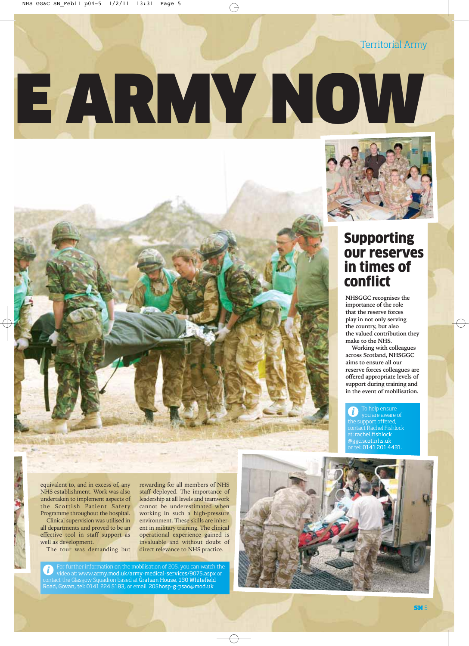Territorial Army

# E ARMY NOW



#### Supporting our reserves in times of conflict

**NHSGGC recognises the importance of the role that the reserve forces play in not only serving the country, but also the valued contribution they make to the NHS.** 

**Working with colleagues across Scotland, NHSGGC aims to ensure all our reserve forces colleagues are offered appropriate levels of support during training and in the event of mobilisation.**

To help ensure the support offered, contact Rachel Fishlock at: rachel.fishlock @ggc.scot.nhs.uk or tel: 0141 201 4431.

equivalent to, and in excess of, any NHS establishment. Work was also undertaken to implement aspects of the Scottish Patient Safety Programme throughout the hospital.

Clinical supervision was utilised in all departments and proved to be an effective tool in staff support as well as development.

The tour was demanding but

rewarding for all members of NHS staff deployed. The importance of leadership at all levels and teamwork cannot be underestimated when working in such a high-pressure environment. These skills are inherent in military training. The clinical operational experience gained is invaluable and without doubt of direct relevance to NHS practice.

or further information on the mobilisation of 205, you can video at: www.army.mod.uk/army-medical-services/9075.aspx or contact the Glasgow Squadron based at Graham House, 130 Whitefield Road, Govan, tel: 0141 224 5183, or email: 205hosp-g-psao@mod.uk

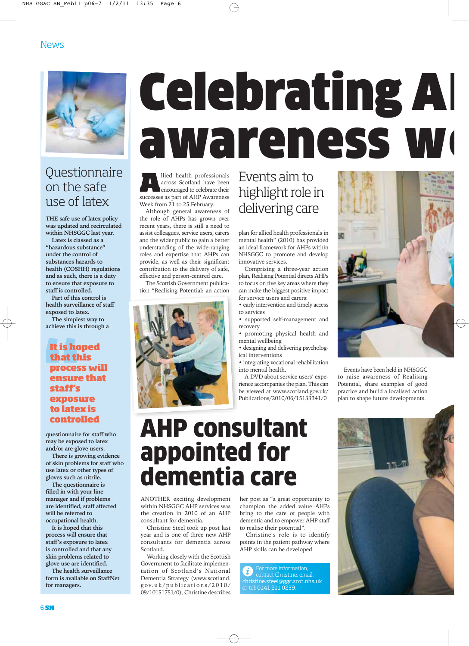

#### **Questionnaire** on the safe use of latex

**THE safe use of latex policy was updated and recirculated within NHSGGC last year.** 

**Latex is classed as a "hazardous substance" under the control of substances hazards to health (COSHH) regulations and as such, there is a duty to ensure that exposure to staff is controlled.** 

**Part of this control is health surveillance of staff exposed to latex.**

**The simplest way to achieve this is through a**

#### **It is hoped that this process will ensure that staff's exposure to latex is controlled**

**questionnaire for staff who may be exposed to latex and/or are glove users.** 

**There is growing evidence of skin problems for staff who use latex or other types of gloves such as nitrile.** 

**The questionnaire is filled in with your line manager and if problems are identified, staff affected will be referred to occupational health.**

**It is hoped that this process will ensure that staff's exposure to latex is controlled and that any skin problems related to glove use are identified.**

**The health surveillance form is available on StaffNet for managers.**

## **Celebrating A** awareness we

**A**llied health professionals across Scotland have been encouraged to celebrate their successes as part of AHP Awareness Week from 21 to 25 February.

Although general awareness of the role of AHPs has grown over recent years, there is still a need to assist colleagues, service users, carers and the wider public to gain a better understanding of the wide-ranging roles and expertise that AHPs can provide, as well as their significant contribution to the delivery of safe, effective and person-centred care.

The Scottish Government publication "Realising Potential: an action



#### Events aim to highlight role in delivering care

plan for allied health professionals in mental health" (2010) has provided an ideal framework for AHPs within NHSGGC to promote and develop innovative services.

Comprising a three-year action plan, Realising Potential directs AHPs to focus on five key areas where they can make the biggest positive impact for service users and carers:

- early intervention and timely access to services
- supported self-management and recovery
- promoting physical health and mental wellbeing
- designing and delivering psychological interventions
- integrating vocational rehabilitation into mental health.

A DVD about service users' experience accompanies the plan. This can be viewed at www.scotland.gov.uk/ Publications/2010/06/15133341/0



Events have been held in NHSGGC to raise awareness of Realising Potential, share examples of good practice and build a localised action plan to shape future developments.

### AHP consultant appointed for dementia care

ANOTHER exciting development within NHSGGC AHP services was the creation in 2010 of an AHP consultant for dementia.

Christine Steel took up post last year and is one of three new AHP consultants for dementia across Scotland.

Working closely with the Scottish Government to facilitate implementation of Scotland's National Dementia Strategy (www.scotland. gov.uk/publications/2010/ 09/10151751/0), Christine describes her post as "a great opportunity to champion the added value AHPs bring to the care of people with dementia and to empower AHP staff to realise their potential".

Christine's role is to identify points in the patient pathway where AHP skills can be developed.

i christine.steel@ggc.scot.nhs.uk or tel: 0141 211 0239.

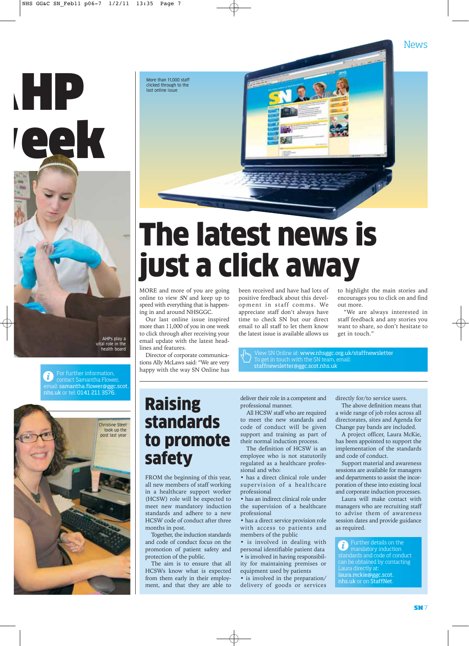

For further information, contact Samantha Flower, email: samantha.flower@ggc.scot. nhs.uk or tel: 0141 211 3576.



#### Raising standards to promote safety

FROM the beginning of this year, all new members of staff working in a healthcare support worker (HCSW) role will be expected to meet new mandatory induction standards and adhere to a new HCSW code of conduct after three months in post.

Together, the induction standards and code of conduct focus on the promotion of patient safety and protection of the public.

The aim is to ensure that all HCSWs know what is expected from them early in their employment, and that they are able to

been received and have had lots of positive feedback about this development in staff comms. We appreciate staff don't always have time to check SN but our direct email to all staff to let them know the latest issue is available allows us

deliver their role in a competent and

professional manner. All HCSW staff who are required to meet the new standards and code of conduct will be given support and training as part of their normal induction process.

The definition of HCSW is an employee who is not statutorily regulated as a healthcare professional and who:

• has a direct clinical role under supervision of a healthcare professional

• has an indirect clinical role under the supervision of a healthcare professional

• has a direct service provision role with access to patients and members of the public

• is involved in dealing with personal identifiable patient data • is involved in having responsibility for maintaining premises or equipment used by patients

• is involved in the preparation/ delivery of goods or services

want to share, so don't hesitate to get in touch."

to highlight the main stories and encourages you to click on and find

"We are always interested in staff feedback and any stories you

out more.

News

View SN Online at: www.nhsggc.org.uk/staffnewsletter To get in touch with the SN team, email: staffnewsletter@ggc.scot.nhs.uk

directly for/to service users.

The above definition means that a wide range of job roles across all directorates, sites and Agenda for Change pay bands are included.

A project officer, Laura McKie, has been appointed to support the implementation of the standards and code of conduct.

Support material and awareness sessions are available for managers and departments to assist the incorporation of these into existing local and corporate induction processes.

Laura will make contact with managers who are recruiting staff to advise them of awareness session dates and provide guidance as required.

Further details on the i) mandatory induction standards and code of conduct can be obtained by contacting laura.mckie@ggc.scot. nhs.uk or on StaffNet.



## The latest news is just a click away

MORE and more of you are going online to view SN and keep up to speed with everything that is happening in and around NHSGGC.

Our last online issue inspired more than 11,000 of you in one week to click through after receiving your email update with the latest headlines and features.

Director of corporate communications Ally McLaws said: "We are very happy with the way SN Online has